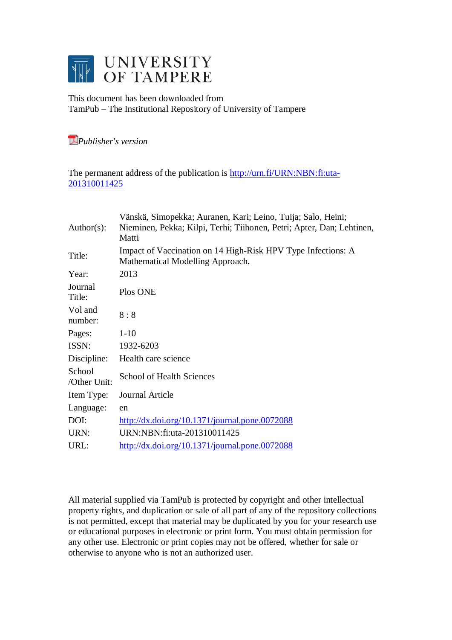

This document has been downloaded from TamPub – The Institutional Repository of University of Tampere

*[P](http://tampub.uta.fi/english/haekokoversio.php?id=1007)ublisher's version* 

The permanent address of the publication is [http://urn.fi/URN:NBN:fi:uta-](http://urn.fi/URN:NBN:fi:uta-201310011425)[201310011425](http://urn.fi/URN:NBN:fi:uta-201310011425)

| Author(s):             | Vänskä, Simopekka; Auranen, Kari; Leino, Tuija; Salo, Heini;<br>Nieminen, Pekka; Kilpi, Terhi; Tiihonen, Petri; Apter, Dan; Lehtinen,<br>Matti |
|------------------------|------------------------------------------------------------------------------------------------------------------------------------------------|
| Title:                 | Impact of Vaccination on 14 High-Risk HPV Type Infections: A<br>Mathematical Modelling Approach.                                               |
| Year:                  | 2013                                                                                                                                           |
| Journal<br>Title:      | Plos ONE                                                                                                                                       |
| Vol and<br>number:     | 8:8                                                                                                                                            |
| Pages:                 | $1-10$                                                                                                                                         |
| ISSN:                  | 1932-6203                                                                                                                                      |
| Discipline:            | Health care science                                                                                                                            |
| School<br>/Other Unit: | <b>School of Health Sciences</b>                                                                                                               |
| Item Type:             | Journal Article                                                                                                                                |
| Language:              | en                                                                                                                                             |
| DOI:                   | $\frac{http://dx.doi.org/10.1371/journal.pone.0072088}{http://dx.doi.org/10.1371/journal.pone.0072088}$                                        |
| URN:                   | URN:NBN:fi:uta-201310011425                                                                                                                    |
| URL:                   | $\frac{http://dx.doi.org/10.1371/journal.pone.0072088}{http://dx.doi.org/10.1371/journal.pone.0072088}$                                        |

All material supplied via TamPub is protected by copyright and other intellectual property rights, and duplication or sale of all part of any of the repository collections is not permitted, except that material may be duplicated by you for your research use or educational purposes in electronic or print form. You must obtain permission for any other use. Electronic or print copies may not be offered, whether for sale or otherwise to anyone who is not an authorized user.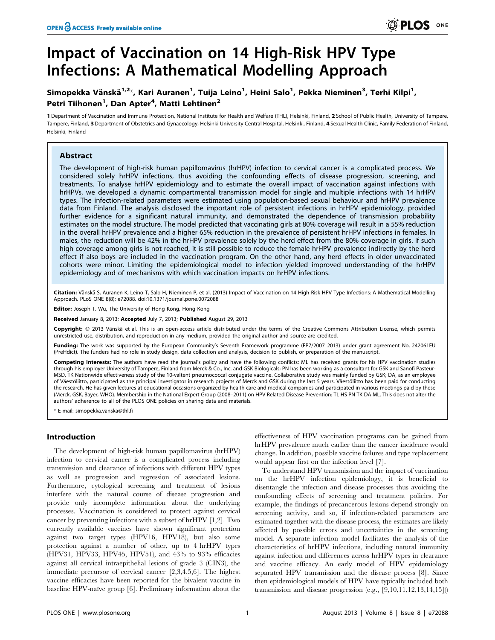# Impact of Vaccination on 14 High-Risk HPV Type Infections: A Mathematical Modelling Approach

## Simopekka Vänskä<sup>1,2</sup>\*, Kari Auranen<sup>1</sup>, Tuija Leino<sup>1</sup>, Heini Salo<sup>1</sup>, Pekka Nieminen<sup>3</sup>, Terhi Kilpi<sup>1</sup>, Petri Tiihonen<sup>1</sup>, Dan Apter<sup>4</sup>, Matti Lehtinen<sup>2</sup>

1 Department of Vaccination and Immune Protection, National Institute for Health and Welfare (THL), Helsinki, Finland, 2 School of Public Health, University of Tampere, Tampere, Finland, 3 Department of Obstetrics and Gynaecology, Helsinki University Central Hospital, Helsinki, Finland, 4 Sexual Health Clinic, Family Federation of Finland, Helsinki, Finland

## Abstract

The development of high-risk human papillomavirus (hrHPV) infection to cervical cancer is a complicated process. We considered solely hrHPV infections, thus avoiding the confounding effects of disease progression, screening, and treatments. To analyse hrHPV epidemiology and to estimate the overall impact of vaccination against infections with hrHPVs, we developed a dynamic compartmental transmission model for single and multiple infections with 14 hrHPV types. The infection-related parameters were estimated using population-based sexual behaviour and hrHPV prevalence data from Finland. The analysis disclosed the important role of persistent infections in hrHPV epidemiology, provided further evidence for a significant natural immunity, and demonstrated the dependence of transmission probability estimates on the model structure. The model predicted that vaccinating girls at 80% coverage will result in a 55% reduction in the overall hrHPV prevalence and a higher 65% reduction in the prevalence of persistent hrHPV infections in females. In males, the reduction will be 42% in the hrHPV prevalence solely by the herd effect from the 80% coverage in girls. If such high coverage among girls is not reached, it is still possible to reduce the female hrHPV prevalence indirectly by the herd effect if also boys are included in the vaccination program. On the other hand, any herd effects in older unvaccinated cohorts were minor. Limiting the epidemiological model to infection yielded improved understanding of the hrHPV epidemiology and of mechanisms with which vaccination impacts on hrHPV infections.

Citation: Vänskä S, Auranen K, Leino T, Salo H, Nieminen P, et al. (2013) Impact of Vaccination on 14 High-Risk HPV Type Infections: A Mathematical Modelling Approach. PLoS ONE 8(8): e72088. doi:10.1371/journal.pone.0072088

Editor: Joseph T. Wu, The University of Hong Kong, Hong Kong

Received January 8, 2013; Accepted July 7, 2013; Published August 29, 2013

Copyright: © 2013 Vänskä et al. This is an open-access article distributed under the terms of the Creative Commons Attribution License, which permits unrestricted use, distribution, and reproduction in any medium, provided the original author and source are credited.

Funding: The work was supported by the European Community's Seventh Framework programme (FP7/2007 2013) under grant agreement No. 242061EU (PreHdict). The funders had no role in study design, data collection and analysis, decision to publish, or preparation of the manuscript.

Competing Interests: The authors have read the journal's policy and have the following conflicts: ML has received grants for his HPV vaccination studies through his employer University of Tampere, Finland from Merck & Co., Inc. and GSK Biologicals; PN has been working as a consultant for GSK and Sanofi Pasteur-MSD, TK Nationwide effectiveness study of the 10-valtent pneumococcal conjugate vaccine. Collaborative study was mainly funded by GSK; DA, as an employee of Väestöliitto, participated as the principal investigator in research projects of Merck and GSK during the last 5 years. Väestöliitto has been paid for conducting the research. He has given lectures at educational occasions organized by health care and medical companies and participated in various meetings paid by these (Merck, GSK, Bayer, WHO). Membership in the National Expert Group (2008–2011) on HPV Related Disease Prevention: TL HS PN TK DA ML. This does not alter the authors' adherence to all of the PLOS ONE policies on sharing data and materials.

\* E-mail: simopekka.vanska@thl.fi

## Introduction

The development of high-risk human papillomavirus (hrHPV) infection to cervical cancer is a complicated process including transmission and clearance of infections with different HPV types as well as progression and regression of associated lesions. Furthermore, cytological screening and treatment of lesions interfere with the natural course of disease progression and provide only incomplete information about the underlying processes. Vaccination is considered to protect against cervical cancer by preventing infections with a subset of hrHPV [1,2]. Two currently available vaccines have shown significant protection against two target types (HPV16, HPV18), but also some protection against a number of other, up to 4 hrHPV types (HPV31, HPV33, HPV45, HPV51), and 43% to 93% efficacies against all cervical intraepithelial lesions of grade 3 (CIN3), the immediate precursor of cervical cancer [2,3,4,5,6]. The highest vaccine efficacies have been reported for the bivalent vaccine in baseline HPV-naïve group [6]. Preliminary information about the

effectiveness of HPV vaccination programs can be gained from hrHPV prevalence much earlier than the cancer incidence would change. In addition, possible vaccine failures and type replacement would appear first on the infection level [7].

To understand HPV transmission and the impact of vaccination on the hrHPV infection epidemiology, it is beneficial to disentangle the infection and disease processes thus avoiding the confounding effects of screening and treatment policies. For example, the findings of precancerous lesions depend strongly on screening activity, and so, if infection-related parameters are estimated together with the disease process, the estimates are likely affected by possible errors and uncertainties in the screening model. A separate infection model facilitates the analysis of the characteristics of hrHPV infections, including natural immunity against infection and differences across hrHPV types in clearance and vaccine efficacy. An early model of HPV epidemiology separated HPV transmission and the disease process [8]. Since then epidemiological models of HPV have typically included both transmission and disease progression (e.g., [9,10,11,12,13,14,15]))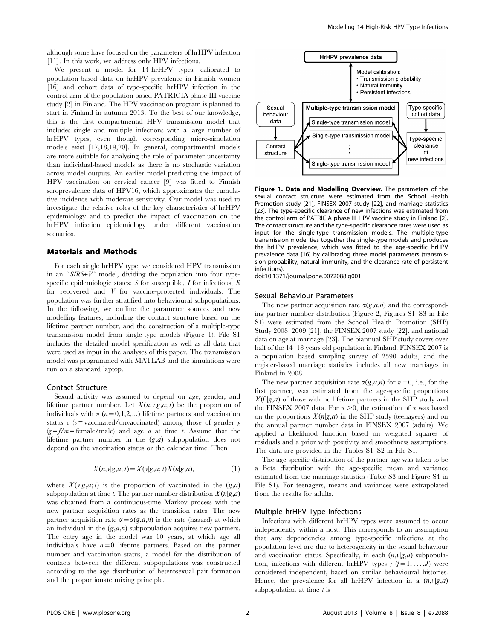although some have focused on the parameters of hrHPV infection [11]. In this work, we address only HPV infections.

We present a model for 14 hrHPV types, calibrated to population-based data on hrHPV prevalence in Finnish women [16] and cohort data of type-specific hrHPV infection in the control arm of the population based PATRICIA phase III vaccine study [2] in Finland. The HPV vaccination program is planned to start in Finland in autumn 2013. To the best of our knowledge, this is the first compartmental HPV transmission model that includes single and multiple infections with a large number of hrHPV types, even though corresponding micro-simulation models exist [17,18,19,20]. In general, compartmental models are more suitable for analysing the role of parameter uncertainty than individual-based models as there is no stochastic variation across model outputs. An earlier model predicting the impact of HPV vaccination on cervical cancer [9] was fitted to Finnish seroprevalence data of HPV16, which approximates the cumulative incidence with moderate sensitivity. Our model was used to investigate the relative roles of the key characteristics of hrHPV epidemiology and to predict the impact of vaccination on the hrHPV infection epidemiology under different vaccination scenarios.

### Materials and Methods

For each single hrHPV type, we considered HPV transmission in an ''SIRS+V'' model, dividing the population into four typespecific epidemiologic states:  $S$  for susceptible,  $I$  for infectious,  $R$ for recovered and V for vaccine-protected individuals. The population was further stratified into behavioural subpopulations. In the following, we outline the parameter sources and new modelling features, including the contact structure based on the lifetime partner number, and the construction of a multiple-type transmission model from single-type models (Figure 1). File S1 includes the detailed model specification as well as all data that were used as input in the analyses of this paper. The transmission model was programmed with MATLAB and the simulations were run on a standard laptop.

#### Contact Structure

Sexual activity was assumed to depend on age, gender, and lifetime partner number. Let  $X(n,v|g,a;t)$  be the proportion of individuals with  $n (n=0,1,2,...)$  lifetime partners and vaccination status v (v= vaccinated/unvaccinated) among those of gender g  $(g=f/m = \text{female}/\text{male})$  and age *a* at time *t*. Assume that the lifetime partner number in the  $(g,a)$  subpopulation does not depend on the vaccination status or the calendar time. Then

$$
X(n,v|g,a;t) = X(v|g,a;t)X(n|g,a),\tag{1}
$$

where  $X(v|g,a;t)$  is the proportion of vaccinated in the  $(g,a)$ subpopulation at time t. The partner number distribution  $X(n|g,a)$ was obtained from a continuous-time Markov process with the new partner acquisition rates as the transition rates. The new partner acquisition rate  $\alpha = \alpha(g,a,n)$  is the rate (hazard) at which an individual in the  $(g,a,n)$  subpopulation acquires new partners. The entry age in the model was 10 years, at which age all individuals have  $n=0$  lifetime partners. Based on the partner number and vaccination status, a model for the distribution of contacts between the different subpopulations was constructed according to the age distribution of heterosexual pair formation and the proportionate mixing principle.



Figure 1. Data and Modelling Overview. The parameters of the sexual contact structure were estimated from the School Health Promotion study [21], FINSEX 2007 study [22], and marriage statistics [23]. The type-specific clearance of new infections was estimated from the control arm of PATRICIA phase III HPV vaccine study in Finland [2]. The contact structure and the type-specific clearance rates were used as input for the single-type transmission models. The multiple-type transmission model ties together the single-type models and produces the hrHPV prevalence, which was fitted to the age-specific hrHPV prevalence data [16] by calibrating three model parameters (transmission probability, natural immunity, and the clearance rate of persistent infections).

doi:10.1371/journal.pone.0072088.g001

#### Sexual Behaviour Parameters

The new partner acquisition rate  $\alpha(g,a,n)$  and the corresponding partner number distribution (Figure 2, Figures S1–S3 in File S1) were estimated from the School Health Promotion (SHP) Study 2008–2009 [21], the FINSEX 2007 study [22], and national data on age at marriage [23]. The biannual SHP study covers over half of the 14–18 years old population in Finland. FINSEX 2007 is a population based sampling survey of 2590 adults, and the register-based marriage statistics includes all new marriages in Finland in 2008.

The new partner acquisition rate  $\alpha(g,a,n)$  for  $n=0$ , i.e., for the first partner, was estimated from the age-specific proportions  $X(0|g,a)$  of those with no lifetime partners in the SHP study and the FINSEX 2007 data. For  $n > 0$ , the estimation of  $\alpha$  was based on the proportions  $X(n|g,a)$  in the SHP study (teenagers) and on the annual partner number data in FINSEX 2007 (adults). We applied a likelihood function based on weighted squares of residuals and a prior with positivity and smoothness assumptions. The data are provided in the Tables S1–S2 in File S1.

The age-specific distribution of the partner age was taken to be a Beta distribution with the age-specific mean and variance estimated from the marriage statistics (Table S3 and Figure S4 in File S1). For teenagers, means and variances were extrapolated from the results for adults.

## Multiple hrHPV Type Infections

Infections with different hrHPV types were assumed to occur independently within a host. This corresponds to an assumption that any dependencies among type-specific infections at the population level are due to heterogeneity in the sexual behaviour and vaccination status. Specifically, in each  $(n,v|g,a)$  subpopulation, infections with different hrHPV types  $j$   $(j=1, \ldots, J)$  were considered independent, based on similar behavioural histories. Hence, the prevalence for all hrHPV infection in a  $(n,v|g,a)$ subpopulation at time  $t$  is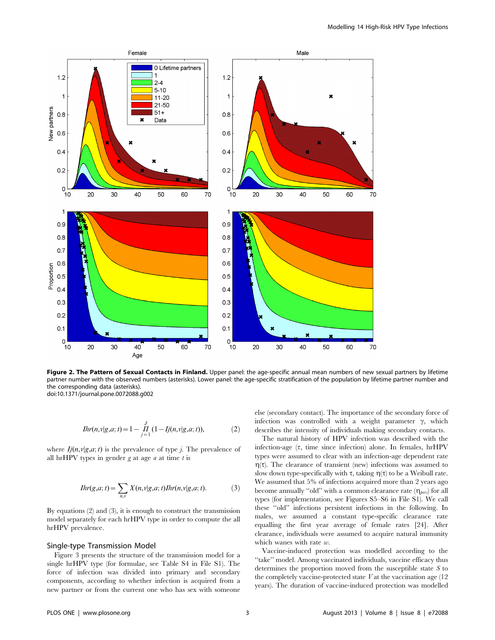

Figure 2. The Pattern of Sexual Contacts in Finland. Upper panel: the age-specific annual mean numbers of new sexual partners by lifetime partner number with the observed numbers (asterisks). Lower panel: the age-specific stratification of the population by lifetime partner number and the corresponding data (asterisks). doi:10.1371/journal.pone.0072088.g002

$$
Ihr(n,v|g,a;t) = 1 - \prod_{j=1}^{J} (1 - Ij(n,v|g,a;t)),
$$
\n(2)

where  $Ij(n,v|g,a;t)$  is the prevalence of type j. The prevalence of all hrHPV types in gender  $g$  at age  $a$  at time  $t$  is

$$
Ihr(g,a;t) = \sum_{n,v} X(n,v|g,a;t)Ihr(n,v|g,a;t).
$$
 (3)

By equations (2) and (3), it is enough to construct the transmission model separately for each hrHPV type in order to compute the all hrHPV prevalence.

## Single-type Transmission Model

Figure 3 presents the structure of the transmission model for a single hrHPV type (for formulae, see Table S4 in File S1). The force of infection was divided into primary and secondary components, according to whether infection is acquired from a new partner or from the current one who has sex with someone else (secondary contact). The importance of the secondary force of infection was controlled with a weight parameter  $\gamma$ , which describes the intensity of individuals making secondary contacts.

The natural history of HPV infection was described with the infection-age  $(\tau)$ , time since infection) alone. In females, hrHPV types were assumed to clear with an infection-age dependent rate  $\eta(\tau)$ . The clearance of transient (new) infections was assumed to slow down type-specifically with  $\tau$ , taking  $\eta(\tau)$  to be a Weibull rate. We assumed that 5% of infections acquired more than 2 years ago become annually "old" with a common clearance rate  $(\eta_{\text{best}})$  for all types (for implementation, see Figures S5–S6 in File S1). We call these ''old'' infections persistent infections in the following. In males, we assumed a constant type-specific clearance rate equalling the first year average of female rates [24]. After clearance, individuals were assumed to acquire natural immunity which wanes with rate w.

Vaccine-induced protection was modelled according to the ''take'' model. Among vaccinated individuals, vaccine efficacy thus determines the proportion moved from the susceptible state S to the completely vaccine-protected state  $V$  at the vaccination age  $(12)$ years). The duration of vaccine-induced protection was modelled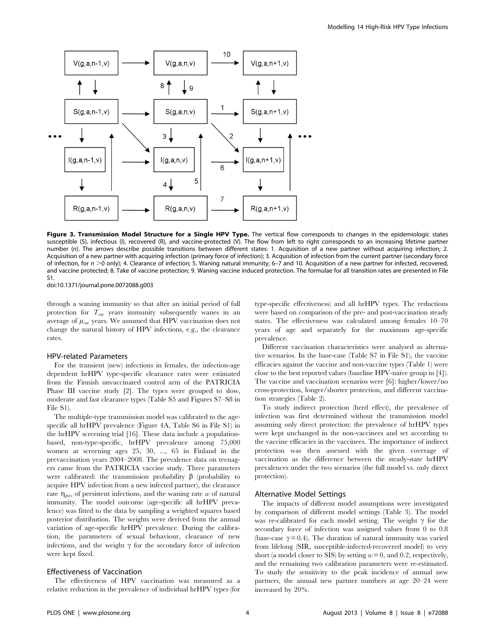

Figure 3. Transmission Model Structure for a Single HPV Type. The vertical flow corresponds to changes in the epidemiologic states susceptible (S), infectious (I), recovered (R), and vaccine-protected (V). The flow from left to right corresponds to an increasing lifetime partner number (n). The arrows describe possible transitions between different states: 1. Acquisition of a new partner without acquiring infection; 2. Acquisition of a new partner with acquiring infection (primary force of infection); 3. Acquisition of infection from the current partner (secondary force of infection, for  $n > 0$  only); 4. Clearance of infection; 5. Waning natural immunity; 6–7 and 10. Acquisition of a new partner for infected, recovered, and vaccine protected; 8. Take of vaccine protection; 9. Waning vaccine induced protection. The formulae for all transition rates are presented in File S1.

doi:10.1371/journal.pone.0072088.g003

through a waning immunity so that after an initial period of full protection for  $T_{vac}$  years immunity subsequently wanes in an average of  $\mu_{\text{vac}}$  years. We assumed that HPV vaccination does not change the natural history of HPV infections, e.g., the clearance rates.

## HPV-related Parameters

For the transient (new) infections in females, the infection-age dependent hrHPV type-specific clearance rates were estimated from the Finnish unvaccinated control arm of the PATRICIA Phase III vaccine study [2]. The types were grouped to slow, moderate and fast clearance types (Table S5 and Figures S7–S8 in File S1).

The multiple-type transmission model was calibrated to the agespecific all hrHPV prevalence (Figure 4A, Table S6 in File S1) in the hrHPV screening trial [16]. These data include a populationbased, non-type-specific, hrHPV prevalence among 75,000 women at screening ages 25, 30, ..., 65 in Finland in the prevaccination years 2004–2008. The prevalence data on teenagers came from the PATRICIA vaccine study. Three parameters were calibrated: the transmission probability  $\beta$  (probability to acquire HPV infection from a new infected partner), the clearance rate  $\eta_{\text{pers}}$  of persistent infections, and the waning rate w of natural immunity. The model outcome (age-specific all hrHPV prevalence) was fitted to the data by sampling a weighted squares based posterior distribution. The weights were derived from the annual variation of age-specific hrHPV prevalence. During the calibration, the parameters of sexual behaviour, clearance of new infections, and the weight  $\gamma$  for the secondary force of infection were kept fixed.

#### Effectiveness of Vaccination

The effectiveness of HPV vaccination was measured as a relative reduction in the prevalence of individual hrHPV types (for type-specific effectiveness) and all hrHPV types. The reductions were based on comparison of the pre- and post-vaccination steady states. The effectiveness was calculated among females 10–70 years of age and separately for the maximum age-specific prevalence.

Different vaccination characteristics were analysed as alternative scenarios. In the base-case (Table S7 in File S1), the vaccine efficacies against the vaccine and non-vaccine types (Table 1) were close to the best reported values (baseline HPV-naïve group in [4]). The vaccine and vaccination scenarios were [6]: higher/lower/no cross-protection, longer/shorter protection, and different vaccination strategies (Table 2).

To study indirect protection (herd effect), the prevalence of infection was first determined without the transmission model assuming only direct protection: the prevalence of hrHPV types were kept unchanged in the non-vaccinees and set according to the vaccine efficacies in the vaccinees. The importance of indirect protection was then assessed with the given coverage of vaccination as the difference between the steady-state hrHPV prevalences under the two scenarios (the full model vs. only direct protection).

#### Alternative Model Settings

The impacts of different model assumptions were investigated by comparison of different model settings (Table 3). The model was re-calibrated for each model setting. The weight  $\gamma$  for the secondary force of infection was assigned values from 0 to 0.8 (base-case  $\gamma = 0.4$ ). The duration of natural immunity was varied from lifelong (SIR, susceptible-infected-recovered model) to very short (a model closer to SIS) by setting  $w = 0$ , and 0.2, respectively, and the remaining two calibration parameters were re-estimated. To study the sensitivity to the peak incidence of annual new partners, the annual new partner numbers at age 20–24 were increased by 20%.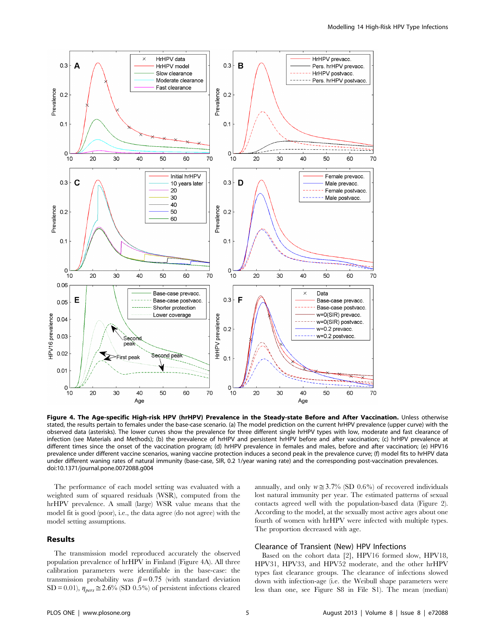

Figure 4. The Age-specific High-risk HPV (hrHPV) Prevalence in the Steady-state Before and After Vaccination. Unless otherwise stated, the results pertain to females under the base-case scenario. (a) The model prediction on the current hrHPV prevalence (upper curve) with the observed data (asterisks). The lower curves show the prevalence for three different single hrHPV types with low, moderate and fast clearance of infection (see Materials and Methods); (b) the prevalence of hrHPV and persistent hrHPV before and after vaccination; (c) hrHPV prevalence at different times since the onset of the vaccination program; (d) hrHPV prevalence in females and males, before and after vaccination; (e) HPV16 prevalence under different vaccine scenarios, waning vaccine protection induces a second peak in the prevalence curve; (f) model fits to hrHPV data under different waning rates of natural immunity (base-case, SIR, 0.2 1/year waning rate) and the corresponding post-vaccination prevalences. doi:10.1371/journal.pone.0072088.g004

The performance of each model setting was evaluated with a weighted sum of squared residuals (WSR), computed from the hrHPV prevalence. A small (large) WSR value means that the model fit is good (poor), i.e., the data agree (do not agree) with the model setting assumptions.

## Results

The transmission model reproduced accurately the observed population prevalence of hrHPV in Finland (Figure 4A). All three calibration parameters were identifiable in the base-case: the transmission probability was  $\beta$  = 0.75 (with standard deviation SD = 0.01),  $\eta_{pers} \approx 2.6\%$  (SD 0.5%) of persistent infections cleared annually, and only  $w \approx 3.7\%$  (SD 0.6%) of recovered individuals lost natural immunity per year. The estimated patterns of sexual contacts agreed well with the population-based data (Figure 2). According to the model, at the sexually most active ages about one fourth of women with hrHPV were infected with multiple types. The proportion decreased with age.

## Clearance of Transient (New) HPV Infections

Based on the cohort data [2], HPV16 formed slow, HPV18, HPV31, HPV33, and HPV52 moderate, and the other hrHPV types fast clearance groups. The clearance of infections slowed down with infection-age (i.e. the Weibull shape parameters were less than one, see Figure S8 in File S1). The mean (median)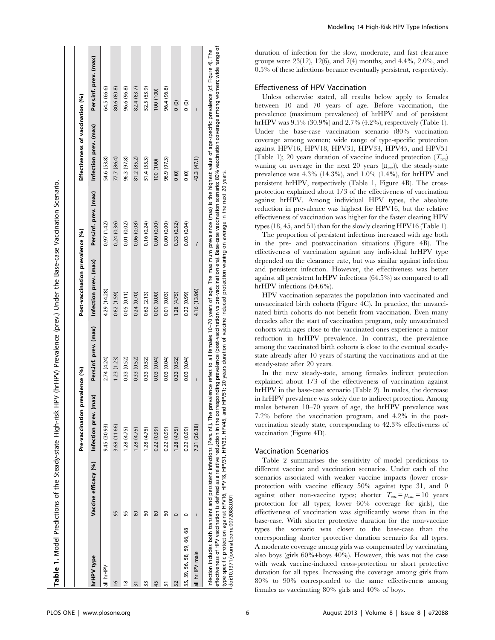|                                       |                                                                                | Pre-vaccination          | prevalence (%)        | Post-vaccination prevalence (%)                                                                                                                                                                                                                                                                                                                                                                                                                                                                                                                            |                       | Effectiveness of vaccination (%) |                       |
|---------------------------------------|--------------------------------------------------------------------------------|--------------------------|-----------------------|------------------------------------------------------------------------------------------------------------------------------------------------------------------------------------------------------------------------------------------------------------------------------------------------------------------------------------------------------------------------------------------------------------------------------------------------------------------------------------------------------------------------------------------------------------|-----------------------|----------------------------------|-----------------------|
| hrHPV type                            | Vaccine efficacy (%)                                                           | (max)<br>Infection prev. | Pers.inf. prev. (max) | Infection prev. (max)                                                                                                                                                                                                                                                                                                                                                                                                                                                                                                                                      | Pers.inf. prev. (max) | Infection prev. (max)            | Pers.inf. prev. (max) |
| all hrHPV                             |                                                                                | 9.45 (30.93)             | 2.74 (4.24)           | 4.29 (14.28)                                                                                                                                                                                                                                                                                                                                                                                                                                                                                                                                               | 0.97(1.42)            | 54.6 (53.8)                      | 64.5 (66.6)           |
| $\frac{8}{2}$                         | 95                                                                             | 3.68 (11.66)             | 1.23(1.23)            | 0.82(1.59)                                                                                                                                                                                                                                                                                                                                                                                                                                                                                                                                                 | 0.24(0.36)            | 77.7 (86.4)                      | 80.6 (80.8)           |
| $\frac{8}{2}$                         | 95                                                                             | 1.28(4.75)               | 0.33(0.52)            | 0.05(0.11)                                                                                                                                                                                                                                                                                                                                                                                                                                                                                                                                                 | 0.01(0.02)            | 96.3 (97.8)                      | 96.6 (96.8)           |
| 31                                    | 80                                                                             | 1.28(4.75)               | 0.33(0.52)            | 0.24(0.70)                                                                                                                                                                                                                                                                                                                                                                                                                                                                                                                                                 | 0.06(0.08)            | 81.2 (85.2)                      | 82.4 (83.7)           |
| 33                                    | 50                                                                             | 1.28(4.75)               | 0.33(0.52)            | 0.62(2.13)                                                                                                                                                                                                                                                                                                                                                                                                                                                                                                                                                 | 0.16(0.24)            | 51.4 (55.3)                      | 52.5 (53.9)           |
| 45                                    | 80                                                                             | 0.22(0.99)               | 0.03 (0.04)           | 0.00(0.00)                                                                                                                                                                                                                                                                                                                                                                                                                                                                                                                                                 | 0.00(0.00)            | 100 (100)                        | 100 (100)             |
| 5                                     | 50                                                                             | 0.22(0.99)               | 0.03(0.04)            | 0.01(0.03)                                                                                                                                                                                                                                                                                                                                                                                                                                                                                                                                                 | 0.00(0.00)            | 96.9 (97.3)                      | 96.4 (96.8)           |
| 52                                    | $\circ$                                                                        | 1.28(4.75)               | 0.33(0.52)            | 1.28(4.75)                                                                                                                                                                                                                                                                                                                                                                                                                                                                                                                                                 | 0.33(0.52)            | $\frac{0}{0}$                    | $\frac{0}{0}$         |
| 35, 39, 56, 58, 59, 66, 68            | 0                                                                              | 0.22 (0.99)              | 0.03(0.04)            | 0.22(0.99)                                                                                                                                                                                                                                                                                                                                                                                                                                                                                                                                                 | 0.03(0.04)            | $\frac{0}{0}$                    | $\frac{1}{2}$         |
| all hrHPV male                        |                                                                                | 7.21 (26.38)             | Ī                     | 4.16 (13.96)                                                                                                                                                                                                                                                                                                                                                                                                                                                                                                                                               | ć                     | 42.3 (47.1)                      | Ï                     |
| doi:10.1371/journal.pone.0072088.t001 | effectiveness of HPV vaccination is defined as a relative reduction in the cor |                          |                       | rresponding prevalence (post-vaccination vs pre-vaccination era). Base-case vaccination scenario: 80% vaccination coverage among women; wide range of<br>nfection includes both transient and persitent infections (Pers.inf). The prevalence refers to all females 10–70 years of age. The maximum prevalence (max) is the highest value of age-specific prevalence (cf. Figure 4). Th<br>type-specific protection against HPV18, HPV31, HPV33, HPV43, and HPV51; 20 years duration of vaccine induced protection waning on average in the next 20 years. |                       |                                  |                       |

The proportion of persistent infections increased with age both hrHPV infections (54.6%). HPV vaccination separates the population into vaccinated and unvaccinated birth cohorts (Figure 4C). In practice, the unvaccinated birth cohorts do not benefit from vaccination. Even many decades after the start of vaccination program, only unvaccinated cohorts with ages close to the vaccinated ones experience a minor reduction in hrHPV prevalence. In contrast, the prevalence among the vaccinated birth cohorts is close to the eventual steadystate already after 10 years of starting the vaccinations and at the steady-state after 20 years.

In the new steady-state, among females indirect protection explained about 1/3 of the effectiveness of vaccination against hrHPV in the base-case scenario (Table 2). In males, the decrease in hrHPV prevalence was solely due to indirect protection. Among males between 10–70 years of age, the hrHPV prevalence was 7.2% before the vaccination program, and 4.2% in the postvaccination steady state, corresponding to 42.3% effectiveness of vaccination (Figure 4D).

## Vaccination Scenarios

Table 2 summarises the sensitivity of model predictions to different vaccine and vaccination scenarios. Under each of the scenarios associated with weaker vaccine impacts (lower crossprotection with vaccine efficacy 50% against type 31, and 0 against other non-vaccine types; shorter  $T_{vac} = \mu_{vac} = 10$  years protection for all types; lower 60% coverage for girls), the effectiveness of vaccination was significantly worse than in the base-case. With shorter protective duration for the non-vaccine types the scenario was closer to the base-case than the corresponding shorter protective duration scenario for all types. A moderate coverage among girls was compensated by vaccinating also boys (girls 60%+boys 40%). However, this was not the case with weak vaccine-induced cross-protection or short protective duration for all types. Increasing the coverage among girls from 80% to 90% corresponded to the same effectiveness among females as vaccinating 80% girls and 40% of boys.

doi:10.1371/journal.pone.0072088.t001

duration of infection for the slow, moderate, and fast clearance groups were 23(12), 12(6), and 7(4) months, and 4.4%, 2.0%, and 0.5% of these infections became eventually persistent, respectively.

## Effectiveness of HPV Vaccination

Unless otherwise stated, all results below apply to females between 10 and 70 years of age. Before vaccination, the prevalence (maximum prevalence) of hrHPV and of persistent hrHPV was 9.5% (30.9%) and 2.7% (4.2%), respectively (Table 1). Under the base-case vaccination scenario (80% vaccination coverage among women; wide range of type-specific protection against HPV16, HPV18, HPV31, HPV33, HPV45, and HPV51 (Table 1); 20 years duration of vaccine induced protection  $(T_{\text{vac}})$ waning on average in the next 20 years  $(\mu_{\text{vac}})$ , the steady-state prevalence was 4.3% (14.3%), and 1.0% (1.4%), for hrHPV and persistent hrHPV, respectively (Table 1, Figure 4B). The crossprotection explained about 1/3 of the effectiveness of vaccination against hrHPV. Among individual HPV types, the absolute reduction in prevalence was highest for HPV16, but the relative effectiveness of vaccination was higher for the faster clearing HPV types (18, 45, and 51) than for the slowly clearing HPV16 (Table 1).

in the pre- and postvaccination situations (Figure 4B). The effectiveness of vaccination against any individual hrHPV type depended on the clearance rate, but was similar against infection and persistent infection. However, the effectiveness was better against all persistent hrHPV infections (64.5%) as compared to all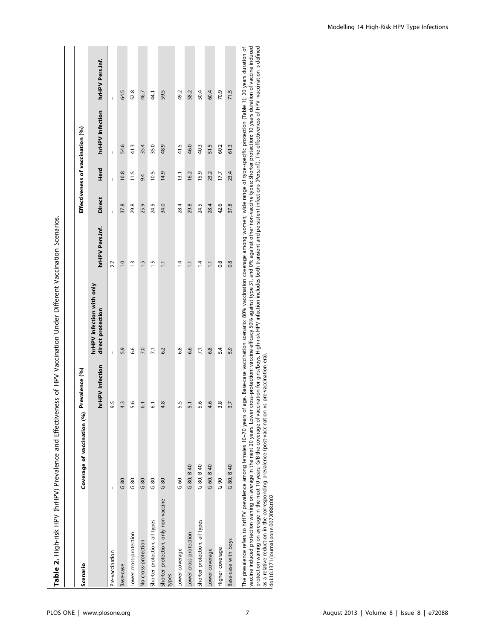| Scenario                                      | Coverage of vaccination (%) | Prevalence (%)  |                                                |                  |               |      | Effectiveness of vaccination (%) |                 |
|-----------------------------------------------|-----------------------------|-----------------|------------------------------------------------|------------------|---------------|------|----------------------------------|-----------------|
|                                               |                             | hrHPV infection | hrHPV infection with only<br>direct protection | hrHPV Pers.inf.  | <b>Direct</b> | Herd | hrHPV infection                  | hrHPV Pers.inf. |
| Pre-vaccination                               | I                           | Lŋ              | $\mathsf I$                                    | 2.7              | I             | I    | I                                | I               |
| Base-case                                     | 680                         | ن<br>س          | 5.9                                            | $\overline{0}$   | 37.8          | 16.8 | 54.6                             | 64.5            |
| Lower cross-protection                        | 80<br>U                     | ڢ               | 6.6                                            | $\frac{3}{2}$    | 29.8          | 11.5 | 41.3                             | 52.8            |
| No cross-protection                           | G80                         | $\overline{5}$  | 7.0                                            | 1.5              | 25.9          | 9.4  | 35.4                             | 46.7            |
| Shorter protection, all types                 | $rac{80}{5}$                | ದ               | $\overline{2}$                                 | 1.5              | 24.5          | 10.5 | 35.0                             | 4.1             |
| Shorter protection, only non-vaccine<br>types | G80                         | œ.              | 6.2                                            | $\overline{11}$  | 34.0          | 14.9 | 48.9                             | 59.5            |
| Lower coverage                                | $\frac{6}{ }$<br>U          | rj.             | 6.8                                            | $\overline{4}$   | 28.4          | 13.1 | 41.5                             | 49.2            |
| Lower cross-protection                        | G 80, B 40                  | 5.1             | 6.6                                            | $\overline{11}$  | 29.8          | 16.2 | 46.0                             | 58.2            |
| Shorter protection, all types                 | G 80, B 40                  | ڢ               | $\overline{7.1}$                               | 14               | 24.5          | 15.9 | 40.3                             | 50.4            |
| Lower coverage                                | G 60, B 40                  | ڢ               | 6.8                                            | $\overline{11}$  | 28.4          | 23.2 | 51.5                             | 60.4            |
| Higher coverage                               | 690                         | œ               | 5.4                                            | $\overline{0.8}$ | 42.6          | 17.7 | 60.2                             | 70.9            |
| Base-case with boys                           | G 80, B 40                  | 3.7             | 5.9                                            | 0.8              | 37.8          | 23.4 | 61.3                             | 71.5            |

 $\mathbf{r}$ Ė ن<br>خ Í Ė ć j J.  $\frac{9}{1}$ 

l vaccine induced protection waning on average in the next 20 years. Lower cross-protection: vaccine efficacy 50% against type 31, and 0% against other non-vaccine types; Shorter protection: 10 years duration of vaccine in vaccine induced protection waning on average in the next 20 years. Lower cross-protection: vaccine efficacy 50% against type 31, and 0% against other non-vaccine types; Shorter protection: 10 years duration of vaccine indu protection waning on average in the next 10 years; G/B the coverage of vaccination for yirls/high-risk HPV infection includes both transient and persistent infections (Pers.inf.). The effectiveness of HPV -vaccination is d as a relative reduction in the corresponding prevalence (post-vaccination vs pre-vaccination era). doi:10.1371/journal.pone.0072088.t002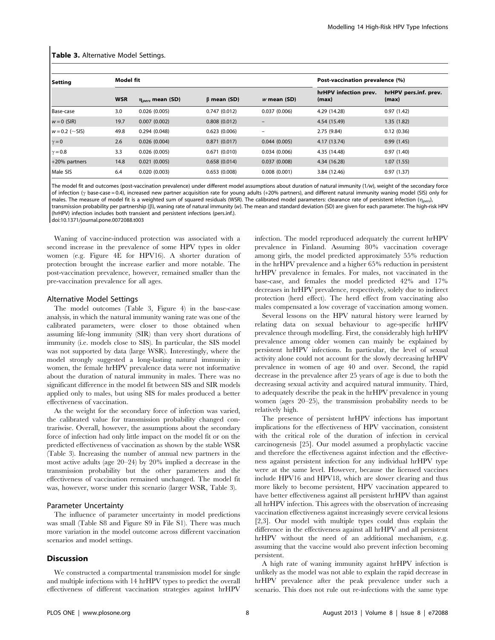#### Table 3. Alternative Model Settings.

| Setting          | Model fit  |                         |                   |                 | Post-vaccination prevalence (%) |                                |
|------------------|------------|-------------------------|-------------------|-----------------|---------------------------------|--------------------------------|
|                  | <b>WSR</b> | $\eta_{pers}$ mean (SD) | $\beta$ mean (SD) | $w$ mean (SD)   | hrHPV infection prev.<br>(max)  | hrHPV pers.inf. prev.<br>(max) |
| <b>Base-case</b> | 3.0        | 0.026(0.005)            | 0.747(0.012)      | 0.037(0.006)    | 4.29 (14.28)                    | 0.97(1.42)                     |
| $w = 0$ (SIR)    | 19.7       | 0.007(0.002)            | 0.808(0.012)      |                 | 4.54 (15.49)                    | 1.35(1.82)                     |
| $w = 0.2$ (~SIS) | 49.8       | 0.294(0.048)            | 0.623(0.006)      | $\qquad \qquad$ | 2.75(9.84)                      | 0.12(0.36)                     |
| $\gamma = 0$     | 2.6        | 0.026(0.004)            | 0.871(0.017)      | 0.044(0.005)    | 4.17 (13.74)                    | 0.99(1.45)                     |
| $\gamma = 0.8$   | 3.3        | 0.026(0.005)            | 0.671(0.010)      | 0.034(0.006)    | 4.35 (14.48)                    | 0.97(1.40)                     |
| +20% partners    | 14.8       | 0.021(0.005)            | 0.658(0.014)      | 0.037(0.008)    | 4.34 (16.28)                    | 1.07(1.55)                     |
| Male SIS         | 6.4        | 0.020(0.003)            | 0.653(0.008)      | 0.008(0.001)    | 3.84 (12.46)                    | 0.97(1.37)                     |

The model fit and outcomes (post-vaccination prevalence) under different model assumptions about duration of natural immunity (1/w), weight of the secondary force of infection ( $\gamma$  base-case = 0.4), increased new partner acquisition rate for young adults (+20% partners), and different natural immunity waning model (SIS) only for males. The measure of model fit is a weighted sum of squared residuals (WSR). The calibrated model parameters: clearance rate of persistent infection ( $\eta_{pers}$ ), transmission probability per partnership (b), waning rate of natural immunity (w). The mean and standard deviation (SD) are given for each parameter. The high-risk HPV (hrHPV) infection includes both transient and persistent infections (pers.inf.). doi:10.1371/journal.pone.0072088.t003

Waning of vaccine-induced protection was associated with a second increase in the prevalence of some HPV types in older women (e.g. Figure 4E for HPV16). A shorter duration of protection brought the increase earlier and more notable. The post-vaccination prevalence, however, remained smaller than the pre-vaccination prevalence for all ages.

#### Alternative Model Settings

The model outcomes (Table 3, Figure 4) in the base-case analysis, in which the natural immunity waning rate was one of the calibrated parameters, were closer to those obtained when assuming life-long immunity (SIR) than very short durations of immunity (i.e. models close to SIS). In particular, the SIS model was not supported by data (large WSR). Interestingly, where the model strongly suggested a long-lasting natural immunity in women, the female hrHPV prevalence data were not informative about the duration of natural immunity in males. There was no significant difference in the model fit between SIS and SIR models applied only to males, but using SIS for males produced a better effectiveness of vaccination.

As the weight for the secondary force of infection was varied, the calibrated value for transmission probability changed contrariwise. Overall, however, the assumptions about the secondary force of infection had only little impact on the model fit or on the predicted effectiveness of vaccination as shown by the stable WSR (Table 3). Increasing the number of annual new partners in the most active adults (age 20–24) by 20% implied a decrease in the transmission probability but the other parameters and the effectiveness of vaccination remained unchanged. The model fit was, however, worse under this scenario (larger WSR, Table 3).

#### Parameter Uncertainty

The influence of parameter uncertainty in model predictions was small (Table S8 and Figure S9 in File S1). There was much more variation in the model outcome across different vaccination scenarios and model settings.

#### **Discussion**

We constructed a compartmental transmission model for single and multiple infections with 14 hrHPV types to predict the overall effectiveness of different vaccination strategies against hrHPV infection. The model reproduced adequately the current hrHPV prevalence in Finland. Assuming 80% vaccination coverage among girls, the model predicted approximately 55% reduction in the hrHPV prevalence and a higher 65% reduction in persistent hrHPV prevalence in females. For males, not vaccinated in the base-case, and females the model predicted 42% and 17% decreases in hrHPV prevalence, respectively, solely due to indirect protection (herd effect). The herd effect from vaccinating also males compensated a low coverage of vaccination among women.

Several lessons on the HPV natural history were learned by relating data on sexual behaviour to age-specific hrHPV prevalence through modelling. First, the considerably high hrHPV prevalence among older women can mainly be explained by persistent hrHPV infections. In particular, the level of sexual activity alone could not account for the slowly decreasing hrHPV prevalence in women of age 40 and over. Second, the rapid decrease in the prevalence after 25 years of age is due to both the decreasing sexual activity and acquired natural immunity. Third, to adequately describe the peak in the hrHPV prevalence in young women (ages 20–25), the transmission probability needs to be relatively high.

The presence of persistent hrHPV infections has important implications for the effectiveness of HPV vaccination, consistent with the critical role of the duration of infection in cervical carcinogenesis [25]. Our model assumed a prophylactic vaccine and therefore the effectiveness against infection and the effectiveness against persistent infection for any individual hrHPV type were at the same level. However, because the licensed vaccines include HPV16 and HPV18, which are slower clearing and thus more likely to become persistent, HPV vaccination appeared to have better effectiveness against all persistent hrHPV than against all hrHPV infection. This agrees with the observation of increasing vaccination effectiveness against increasingly severe cervical lesions [2,3]. Our model with multiple types could thus explain the difference in the effectiveness against all hrHPV and all persistent hrHPV without the need of an additional mechanism, e.g. assuming that the vaccine would also prevent infection becoming persistent.

A high rate of waning immunity against hrHPV infection is unlikely as the model was not able to explain the rapid decrease in hrHPV prevalence after the peak prevalence under such a scenario. This does not rule out re-infections with the same type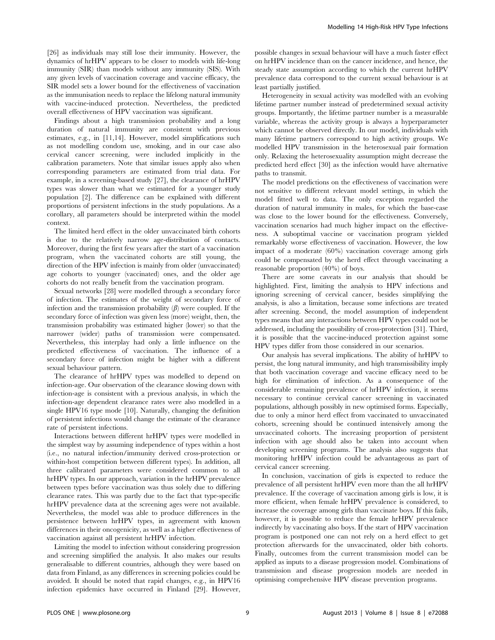[26] as individuals may still lose their immunity. However, the dynamics of hrHPV appears to be closer to models with life-long immunity (SIR) than models without any immunity (SIS). With any given levels of vaccination coverage and vaccine efficacy, the SIR model sets a lower bound for the effectiveness of vaccination as the immunisation needs to replace the lifelong natural immunity with vaccine-induced protection. Nevertheless, the predicted overall effectiveness of HPV vaccination was significant.

Findings about a high transmission probability and a long duration of natural immunity are consistent with previous estimates, e.g., in [11,14]. However, model simplifications such as not modelling condom use, smoking, and in our case also cervical cancer screening, were included implicitly in the calibration parameters. Note that similar issues apply also when corresponding parameters are estimated from trial data. For example, in a screening-based study [27], the clearance of hrHPV types was slower than what we estimated for a younger study population [2]. The difference can be explained with different proportions of persistent infections in the study populations. As a corollary, all parameters should be interpreted within the model context.

The limited herd effect in the older unvaccinated birth cohorts is due to the relatively narrow age-distribution of contacts. Moreover, during the first few years after the start of a vaccination program, when the vaccinated cohorts are still young, the direction of the HPV infection is mainly from older (unvaccinated) age cohorts to younger (vaccinated) ones, and the older age cohorts do not really benefit from the vaccination program.

Sexual networks [28] were modelled through a secondary force of infection. The estimates of the weight of secondary force of infection and the transmission probability  $(\beta)$  were coupled. If the secondary force of infection was given less (more) weight, then, the transmission probability was estimated higher (lower) so that the narrower (wider) paths of transmission were compensated. Nevertheless, this interplay had only a little influence on the predicted effectiveness of vaccination. The influence of a secondary force of infection might be higher with a different sexual behaviour pattern.

The clearance of hrHPV types was modelled to depend on infection-age. Our observation of the clearance slowing down with infection-age is consistent with a previous analysis, in which the infection-age dependent clearance rates were also modelled in a single HPV16 type mode [10]. Naturally, changing the definition of persistent infections would change the estimate of the clearance rate of persistent infections.

Interactions between different hrHPV types were modelled in the simplest way by assuming independence of types within a host (i.e., no natural infection/immunity derived cross-protection or within-host competition between different types). In addition, all three calibrated parameters were considered common to all hrHPV types. In our approach, variation in the hrHPV prevalence between types before vaccination was thus solely due to differing clearance rates. This was partly due to the fact that type-specific hrHPV prevalence data at the screening ages were not available. Nevertheless, the model was able to produce differences in the persistence between hrHPV types, in agreement with known differences in their oncogenicity, as well as a higher effectiveness of vaccination against all persistent hrHPV infection.

Limiting the model to infection without considering progression and screening simplified the analysis. It also makes our results generalisable to different countries, although they were based on data from Finland, as any differences in screening policies could be avoided. It should be noted that rapid changes, e.g., in HPV16 infection epidemics have occurred in Finland [29]. However, possible changes in sexual behaviour will have a much faster effect on hrHPV incidence than on the cancer incidence, and hence, the steady state assumption according to which the current hrHPV prevalence data correspond to the current sexual behaviour is at least partially justified.

Heterogeneity in sexual activity was modelled with an evolving lifetime partner number instead of predetermined sexual activity groups. Importantly, the lifetime partner number is a measurable variable, whereas the activity group is always a hyperparameter which cannot be observed directly. In our model, individuals with many lifetime partners correspond to high activity groups. We modelled HPV transmission in the heterosexual pair formation only. Relaxing the heterosexuality assumption might decrease the predicted herd effect [30] as the infection would have alternative paths to transmit.

The model predictions on the effectiveness of vaccination were not sensitive to different relevant model settings, in which the model fitted well to data. The only exception regarded the duration of natural immunity in males, for which the base-case was close to the lower bound for the effectiveness. Conversely, vaccination scenarios had much higher impact on the effectiveness. A suboptimal vaccine or vaccination program yielded remarkably worse effectiveness of vaccination. However, the low impact of a moderate (60%) vaccination coverage among girls could be compensated by the herd effect through vaccinating a reasonable proportion (40%) of boys.

There are some caveats in our analysis that should be highlighted. First, limiting the analysis to HPV infections and ignoring screening of cervical cancer, besides simplifying the analysis, is also a limitation, because some infections are treated after screening. Second, the model assumption of independent types means that any interactions between HPV types could not be addressed, including the possibility of cross-protection [31]. Third, it is possible that the vaccine-induced protection against some HPV types differ from those considered in our scenarios.

Our analysis has several implications. The ability of hrHPV to persist, the long natural immunity, and high transmissibility imply that both vaccination coverage and vaccine efficacy need to be high for elimination of infection. As a consequence of the considerable remaining prevalence of hrHPV infection, it seems necessary to continue cervical cancer screening in vaccinated populations, although possibly in new optimised forms. Especially, due to only a minor herd effect from vaccinated to unvaccinated cohorts, screening should be continued intensively among the unvaccinated cohorts. The increasing proportion of persistent infection with age should also be taken into account when developing screening programs. The analysis also suggests that monitoring hrHPV infection could be advantageous as part of cervical cancer screening.

In conclusion, vaccination of girls is expected to reduce the prevalence of all persistent hrHPV even more than the all hrHPV prevalence. If the coverage of vaccination among girls is low, it is more efficient, when female hrHPV prevalence is considered, to increase the coverage among girls than vaccinate boys. If this fails, however, it is possible to reduce the female hrHPV prevalence indirectly by vaccinating also boys. If the start of HPV vaccination program is postponed one can not rely on a herd effect to get protection afterwards for the unvaccinated, older bith cohorts. Finally, outcomes from the current transmission model can be applied as inputs to a disease progression model. Combinations of transmission and disease progression models are needed in optimising comprehensive HPV disease prevention programs.